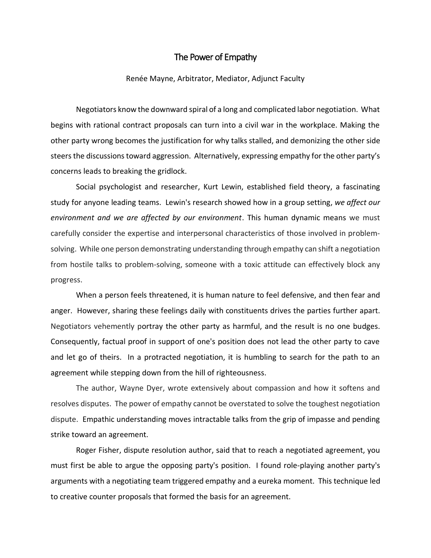## The Power of Empathy

## Renée Mayne, Arbitrator, Mediator, Adjunct Faculty

Negotiators know the downward spiral of a long and complicated labor negotiation. What begins with rational contract proposals can turn into a civil war in the workplace. Making the other party wrong becomes the justification for why talks stalled, and demonizing the other side steers the discussions toward aggression. Alternatively, expressing empathy for the other party's concerns leads to breaking the gridlock.

Social psychologist and researcher, Kurt Lewin, established field theory, a fascinating study for anyone leading teams. Lewin's research showed how in a group setting, *we affect our environment and we are affected by our environment*. This human dynamic means we must carefully consider the expertise and interpersonal characteristics of those involved in problemsolving. While one person demonstrating understanding through empathy can shift a negotiation from hostile talks to problem-solving, someone with a toxic attitude can effectively block any progress.

When a person feels threatened, it is human nature to feel defensive, and then fear and anger. However, sharing these feelings daily with constituents drives the parties further apart. Negotiators vehemently portray the other party as harmful, and the result is no one budges. Consequently, factual proof in support of one's position does not lead the other party to cave and let go of theirs. In a protracted negotiation, it is humbling to search for the path to an agreement while stepping down from the hill of righteousness.

The author, Wayne Dyer, wrote extensively about compassion and how it softens and resolves disputes. The power of empathy cannot be overstated to solve the toughest negotiation dispute. Empathic understanding moves intractable talks from the grip of impasse and pending strike toward an agreement.

Roger Fisher, dispute resolution author, said that to reach a negotiated agreement, you must first be able to argue the opposing party's position. I found role-playing another party's arguments with a negotiating team triggered empathy and a eureka moment. This technique led to creative counter proposals that formed the basis for an agreement.